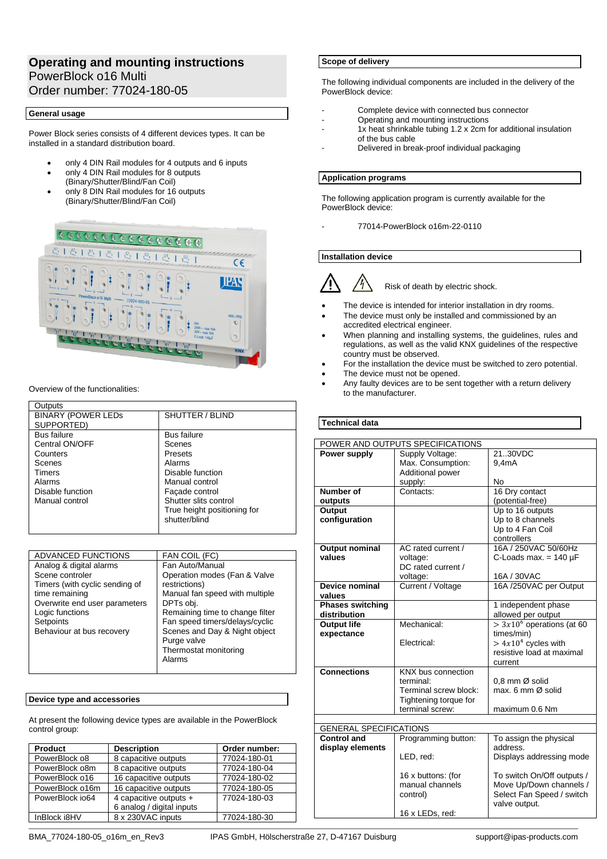# **Operating and mounting instructions** PowerBlock o16 Multi Order number: 77024-180-05

## **General usage**

Power Block series consists of 4 different devices types. It can be installed in a standard distribution board.

- only 4 DIN Rail modules for 4 outputs and 6 inputs
- only 4 DIN Rail modules for 8 outputs (Binary/Shutter/Blind/Fan Coil)
- only 8 DIN Rail modules for 16 outputs (Binary/Shutter/Blind/Fan Coil)



Overview of the functionalities:

| Outputs                   |                             |
|---------------------------|-----------------------------|
| <b>BINARY (POWER LEDS</b> | SHUTTER / BLIND             |
| SUPPORTED)                |                             |
| <b>Bus failure</b>        | <b>Bus failure</b>          |
| Central ON/OFF            | Scenes                      |
| Counters                  | Presets                     |
| Scenes                    | Alarms                      |
| <b>Timers</b>             | Disable function            |
| Alarms                    | Manual control              |
| Disable function          | Façade control              |
| Manual control            | Shutter slits control       |
|                           | True height positioning for |
|                           | shutter/blind               |
|                           |                             |

| ADVANCED FUNCTIONS             | FAN COIL (FC)                   |
|--------------------------------|---------------------------------|
| Analog & digital alarms        | Fan Auto/Manual                 |
| Scene controler                | Operation modes (Fan & Valve    |
| Timers (with cyclic sending of | restrictions)                   |
| time remaining                 | Manual fan speed with multiple  |
| Overwrite end user parameters  | DPTs obj.                       |
| Logic functions                | Remaining time to change filter |
| Setpoints                      | Fan speed timers/delays/cyclic  |
| Behaviour at bus recovery      | Scenes and Day & Night object   |
|                                | Purge valve                     |
|                                | Thermostat monitoring           |
|                                | Alarms                          |
|                                |                                 |

## **Device type and accessories**

At present the following device types are available in the PowerBlock control group:

| <b>Product</b>  | <b>Description</b>        | Order number: |
|-----------------|---------------------------|---------------|
| PowerBlock o8   | 8 capacitive outputs      | 77024-180-01  |
| PowerBlock o8m  | 8 capacitive outputs      | 77024-180-04  |
| PowerBlock o16  | 16 capacitive outputs     | 77024-180-02  |
| PowerBlock o16m | 16 capacitive outputs     | 77024-180-05  |
| PowerBlock io64 | 4 capacitive outputs +    | 77024-180-03  |
|                 | 6 analog / digital inputs |               |
| InBlock i8HV    | 8 x 230VAC inputs         | 77024-180-30  |

## **Scope of delivery**

The following individual components are included in the delivery of the PowerBlock device:

- Complete device with connected bus connector
- Operating and mounting instructions
- 1x heat shrinkable tubing 1.2 x 2cm for additional insulation of the bus cable
- Delivered in break-proof individual packaging

## **Application programs**

The following application program is currently available for the PowerBlock device:

- 77014-PowerBlock o16m-22-0110

# **Installation device**

Risk of death by electric shock.

- The device is intended for interior installation in dry rooms.
- The device must only be installed and commissioned by an accredited electrical engineer.
- When planning and installing systems, the guidelines, rules and regulations, as well as the valid KNX guidelines of the respective country must be observed.
- For the installation the device must be switched to zero potential.
- The device must not be opened.
- Any faulty devices are to be sent together with a return delivery to the manufacturer.

## **Technical data**

| POWER AND OUTPUTS SPECIFICATIONS |                         |                             |
|----------------------------------|-------------------------|-----------------------------|
| Power supply                     | Supply Voltage:         | 2130VDC                     |
|                                  | Max. Consumption:       | 9.4 <sub>m</sub> A          |
|                                  | <b>Additional power</b> |                             |
|                                  | supply:                 | No                          |
| Number of                        | Contacts:               | 16 Dry contact              |
| outputs                          |                         | (potential-free)            |
| Output                           |                         | Up to 16 outputs            |
| configuration                    |                         | Up to 8 channels            |
|                                  |                         | Up to 4 Fan Coil            |
|                                  |                         | controllers                 |
| Output nominal                   | AC rated current /      | 16A / 250VAC 50/60Hz        |
| values                           | voltage:                | C-Loads max. = $140 \mu F$  |
|                                  | DC rated current /      |                             |
|                                  | voltage:                | 16A / 30VAC                 |
| Device nominal                   | Current / Voltage       | 16A /250VAC per Output      |
| values                           |                         |                             |
| <b>Phases switching</b>          |                         | 1 independent phase         |
| distribution                     |                         | allowed per output          |
| <b>Output life</b>               | Mechanical:             | $> 3x106$ operations (at 60 |
| expectance                       |                         | times/min)                  |
|                                  | Electrical:             | $> 4x104$ cycles with       |
|                                  |                         | resistive load at maximal   |
|                                  |                         | current                     |
| <b>Connections</b>               | KNX bus connection      |                             |
|                                  | terminal:               | 0.8 mm Ø solid              |
|                                  | Terminal screw block:   | max. 6 mm Ø solid           |
|                                  | Tightening torque for   |                             |
|                                  | terminal screw:         | maximum 0.6 Nm              |
| <b>GENERAL SPECIFICATIONS</b>    |                         |                             |
| <b>Control and</b>               | Programming button:     | To assign the physical      |
| display elements                 |                         | address.                    |
|                                  | LED, red:               | Displays addressing mode    |
|                                  |                         |                             |
|                                  | 16 x buttons: (for      | To switch On/Off outputs /  |
|                                  | manual channels         | Move Up/Down channels /     |
|                                  | control)                | Select Fan Speed / switch   |
|                                  |                         | valve output.               |
|                                  | 16 x LEDs, red:         |                             |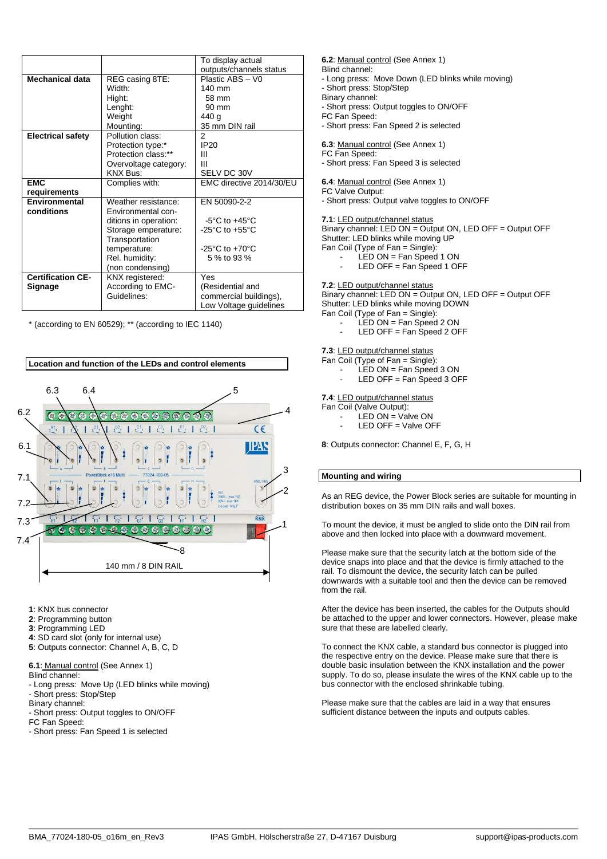|                          |                       | To display actual                    |
|--------------------------|-----------------------|--------------------------------------|
|                          |                       | outputs/channels status              |
| Mechanical data          | REG casing 8TE:       | Plastic ABS - V0                     |
|                          | Width:                | $140 \text{ mm}$                     |
|                          | Hight:                | 58 mm                                |
|                          | Lenght:               | $90 \text{ mm}$                      |
|                          | Weight                | 440 g                                |
|                          | Mounting:             | 35 mm DIN rail                       |
| <b>Electrical safety</b> | Pollution class:      | 2                                    |
|                          | Protection type:*     | <b>IP20</b>                          |
|                          | Protection class:**   | Ш                                    |
|                          | Overvoltage category: | Ш                                    |
|                          | <b>KNX Bus:</b>       | SELV DC 30V                          |
| <b>EMC</b>               | Complies with:        | EMC directive 2014/30/EU             |
| requirements             |                       |                                      |
| <b>Environmental</b>     | Weather resistance:   | EN 50090-2-2                         |
| conditions               | Environmental con-    |                                      |
|                          | ditions in operation: | $-5^{\circ}$ C to $+45^{\circ}$ C    |
|                          | Storage emperature:   | -25 $^{\circ}$ C to +55 $^{\circ}$ C |
|                          | Transportation        |                                      |
|                          | temperature:          | $-25^{\circ}$ C to $+70^{\circ}$ C   |
|                          | Rel. humidity:        | 5 % to 93 %                          |
|                          | (non condensing)      |                                      |
| <b>Certification CE-</b> | KNX registered:       | Yes                                  |
| Signage                  | According to EMC-     | (Residential and                     |
|                          | Guidelines:           | commercial buildings),               |
|                          |                       | Low Voltage guidelines               |

\* (according to EN 60529); \*\* (according to IEC 1140)



- **1**: KNX bus connector
- **2**: Programming button
- **3**: Programming LED
- **4**: SD card slot (only for internal use)
- **5**: Outputs connector: Channel A, B, C, D
- **6.1**: Manual control (See Annex 1)
- Blind channel:
- Long press: Move Up (LED blinks while moving)
- Short press: Stop/Step
- Binary channel:
- Short press: Output toggles to ON/OFF
- FC Fan Speed:
- Short press: Fan Speed 1 is selected

**6.2**: Manual control (See Annex 1)

- Blind channel:
- Long press: Move Down (LED blinks while moving)
- Short press: Stop/Step
- Binary channel:
- Short press: Output toggles to ON/OFF

FC Fan Speed:

- Short press: Fan Speed 2 is selected

**6.3**: Manual control (See Annex 1)

FC Fan Speed:

- Short press: Fan Speed 3 is selected

**6.4**: Manual control (See Annex 1)

FC Valve Output:

- Short press: Output valve toggles to ON/OFF

**7.1**: LED output/channel status

Binary channel: LED ON = Output ON, LED OFF = Output OFF Shutter: LED blinks while moving UP Fan Coil (Type of Fan = Single):

- LED ON = Fan Speed 1 ON
	- LED OFF = Fan Speed 1 OFF

# **7.2**: LED output/channel status

Binary channel: LED ON = Output ON, LED OFF = Output OFF Shutter: LED blinks while moving DOWN

Fan Coil (Type of Fan = Single):

- LED ON = Fan Speed 2 ON
- LED OFF = Fan Speed 2 OFF

# **7.3**: LED output/channel status

Fan Coil (Type of Fan = Single):

LED ON = Fan Speed 3 ON LED OFF = Fan Speed 3 OFF

# **7.4**: LED output/channel status

- Fan Coil (Valve Output):
	- LED ON = Valve ON
	- LED OFF = Valve OFF

**8**: Outputs connector: Channel E, F, G, H

# **Mounting and wiring**

As an REG device, the Power Block series are suitable for mounting in distribution boxes on 35 mm DIN rails and wall boxes.

To mount the device, it must be angled to slide onto the DIN rail from above and then locked into place with a downward movement.

Please make sure that the security latch at the bottom side of the device snaps into place and that the device is firmly attached to the rail. To dismount the device, the security latch can be pulled downwards with a suitable tool and then the device can be removed from the rail.

After the device has been inserted, the cables for the Outputs should be attached to the upper and lower connectors. However, please make sure that these are labelled clearly.

To connect the KNX cable, a standard bus connector is plugged into the respective entry on the device. Please make sure that there is double basic insulation between the KNX installation and the power supply. To do so, please insulate the wires of the KNX cable up to the bus connector with the enclosed shrinkable tubing.

Please make sure that the cables are laid in a way that ensures sufficient distance between the inputs and outputs cables.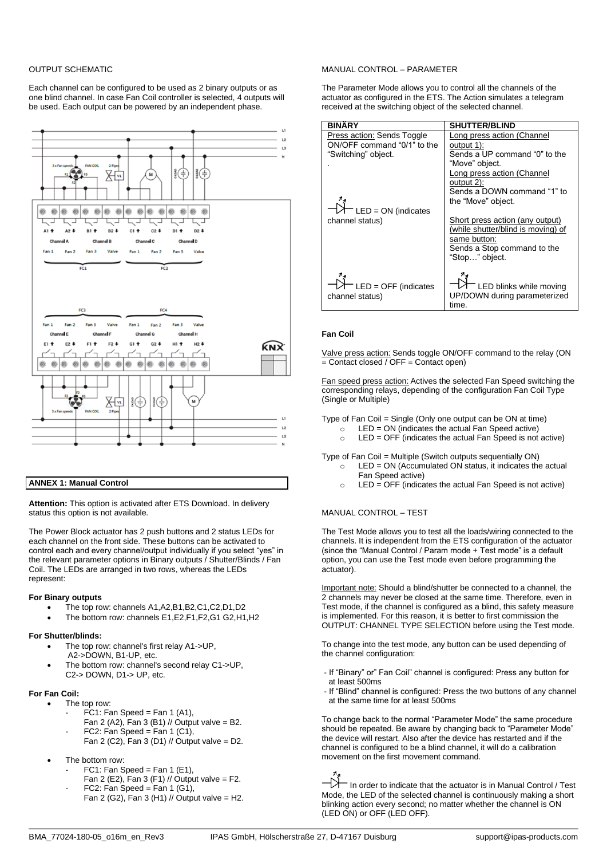### OUTPUT SCHEMATIC

Each channel can be configured to be used as 2 binary outputs or as one blind channel. In case Fan Coil controller is selected, 4 outputs will be used. Each output can be powered by an independent phase.



### **ANNEX 1: Manual Control**

**Attention:** This option is activated after ETS Download. In delivery status this option is not available.

The Power Block actuator has 2 push buttons and 2 status LEDs for each channel on the front side. These buttons can be activated to control each and every channel/output individually if you select "yes" in the relevant parameter options in Binary outputs / Shutter/Blinds / Fan Coil. The LEDs are arranged in two rows, whereas the LEDs represent:

### **For Binary outputs**

- The top row: channels A1,A2,B1,B2,C1,C2,D1,D2
- The bottom row: channels E1,E2,F1,F2,G1 G2,H1,H2

### **For Shutter/blinds:**

- The top row: channel's first relay A1->UP, A2->DOWN, B1-UP, etc.
- The bottom row: channel's second relay C1->UP, C2-> DOWN, D1-> UP, etc.

### **For Fan Coil:**

- The top row:
	- $FC1: Fan Speed = Fan 1 (A1),$
	- Fan 2 (A2), Fan 3 (B1) // Output valve = B2.
	- FC2: Fan Speed = Fan 1 (C1), Fan 2 (C2), Fan 3 (D1) // Output valve = D2.
- The bottom row:
	- $FC1: Fan Speed = Fan 1 (E1),$
	- Fan 2 (E2), Fan 3 (F1) // Output valve = F2.
	- $FC2: Fan Speed = Fan 1 (G1),$ Fan 2 (G2), Fan 3 (H1) // Output valve = H2.

### MANUAL CONTROL – PARAMETER

The Parameter Mode allows you to control all the channels of the actuator as configured in the ETS. The Action simulates a telegram received at the switching object of the selected channel.

| <b>BINÄRY</b>               | <b>SHUTTER/BLIND</b>                                                                  |
|-----------------------------|---------------------------------------------------------------------------------------|
| Press action: Sends Toggle  | Long press action (Channel                                                            |
| ON/OFF command "0/1" to the | output 1):                                                                            |
| "Switching" object.         | Sends a UP command "0" to the                                                         |
|                             | "Move" object.                                                                        |
|                             | Long press action (Channel                                                            |
|                             | output 2):                                                                            |
|                             | Sends a DOWN command "1" to                                                           |
|                             | the "Move" object.                                                                    |
| $^-$ LED = ON (indicates    |                                                                                       |
| channel status)             | Short press action (any output)<br>(while shutter/blind is moving) of<br>same button: |
|                             | Sends a Stop command to the                                                           |
|                             | "Stop" object.                                                                        |
| LED = OFF (indicates        | $^-$ LED blinks while moving                                                          |
| channel status)             | UP/DOWN during parameterized                                                          |
|                             | time.                                                                                 |

### **Fan Coil**

Valve press action: Sends toggle ON/OFF command to the relay (ON  $=$  Contact closed / OFF = Contact open)

Fan speed press action: Actives the selected Fan Speed switching the corresponding relays, depending of the configuration Fan Coil Type (Single or Multiple)

Type of Fan Coil = Single (Only one output can be ON at time)

- $LED = ON$  (indicates the actual Fan Speed active)
- $\circ$  LED = OFF (indicates the actual Fan Speed is not active)

Type of Fan Coil = Multiple (Switch outputs sequentially ON)

- $\circ$  LED = ON (Accumulated ON status, it indicates the actual Fan Speed active)
- $\circ$  LED = OFF (indicates the actual Fan Speed is not active)

### MANUAL CONTROL – TEST

The Test Mode allows you to test all the loads/wiring connected to the channels. It is independent from the ETS configuration of the actuator (since the "Manual Control / Param mode + Test mode" is a default option, you can use the Test mode even before programming the actuator).

Important note: Should a blind/shutter be connected to a channel, the 2 channels may never be closed at the same time. Therefore, even in Test mode, if the channel is configured as a blind, this safety measure is implemented. For this reason, it is better to first commission the OUTPUT: CHANNEL TYPE SELECTION before using the Test mode.

To change into the test mode, any button can be used depending of the channel configuration:

- If "Binary" or" Fan Coil" channel is configured: Press any button for at least 500ms
- If "Blind" channel is configured: Press the two buttons of any channel at the same time for at least 500ms

To change back to the normal "Parameter Mode" the same procedure should be repeated. Be aware by changing back to "Parameter Mode" the device will restart. Also after the device has restarted and if the channel is configured to be a blind channel, it will do a calibration movement on the first movement command.

N In order to indicate that the actuator is in Manual Control / Test Mode, the LED of the selected channel is continuously making a short blinking action every second; no matter whether the channel is ON (LED ON) or OFF (LED OFF).